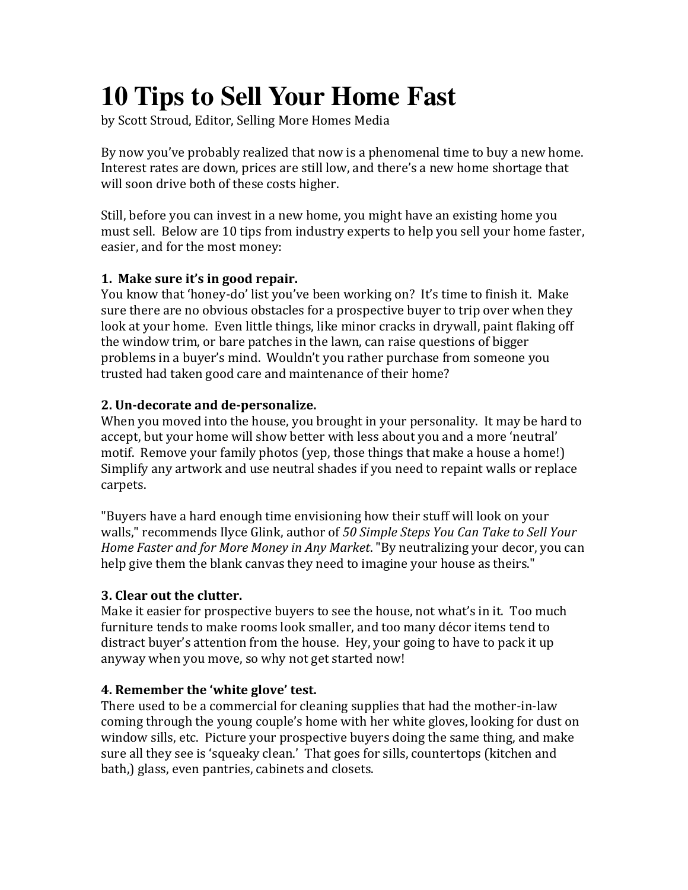# **10 Tips to Sell Your Home Fast**

by Scott Stroud, Editor, Selling More Homes Media

By now you've probably realized that now is a phenomenal time to buy a new home. Interest rates are down, prices are still low, and there's a new home shortage that will soon drive both of these costs higher.

Still, before you can invest in a new home, you might have an existing home you must sell. Below are 10 tips from industry experts to help you sell your home faster, easier, and for the most money:

## **1. Make sure it's in good repair.**

You know that 'honey-do' list you've been working on? It's time to finish it. Make sure there are no obvious obstacles for a prospective buyer to trip over when they look at your home. Even little things, like minor cracks in drywall, paint flaking off the window trim, or bare patches in the lawn, can raise questions of bigger problems in a buyer's mind. Wouldn't you rather purchase from someone you trusted had taken good care and maintenance of their home?

## **2. Un-decorate and de-personalize.**

When you moved into the house, you brought in your personality. It may be hard to accept, but your home will show better with less about you and a more 'neutral' motif. Remove your family photos (yep, those things that make a house a home!) Simplify any artwork and use neutral shades if you need to repaint walls or replace carpets.#

"Buyers have a hard enough time envisioning how their stuff will look on your walls," recommends Ilyce Glink, author of 50 Simple Steps You Can Take to Sell Your *Home Faster and for More Money in Any Market*. "By neutralizing your decor, you can help give them the blank canvas they need to imagine your house as theirs."

# **3. Clear out the clutter.**

Make it easier for prospective buyers to see the house, not what's in it. Too much furniture tends to make rooms look smaller, and too many décor items tend to distract buyer's attention from the house. Hey, your going to have to pack it up anyway when you move, so why not get started now!

# **4. Remember the 'white glove' test.**

There used to be a commercial for cleaning supplies that had the mother-in-law coming through the young couple's home with her white gloves, looking for dust on window sills, etc. Picture your prospective buyers doing the same thing, and make sure all they see is 'squeaky clean.' That goes for sills, countertops (kitchen and bath,) glass, even pantries, cabinets and closets.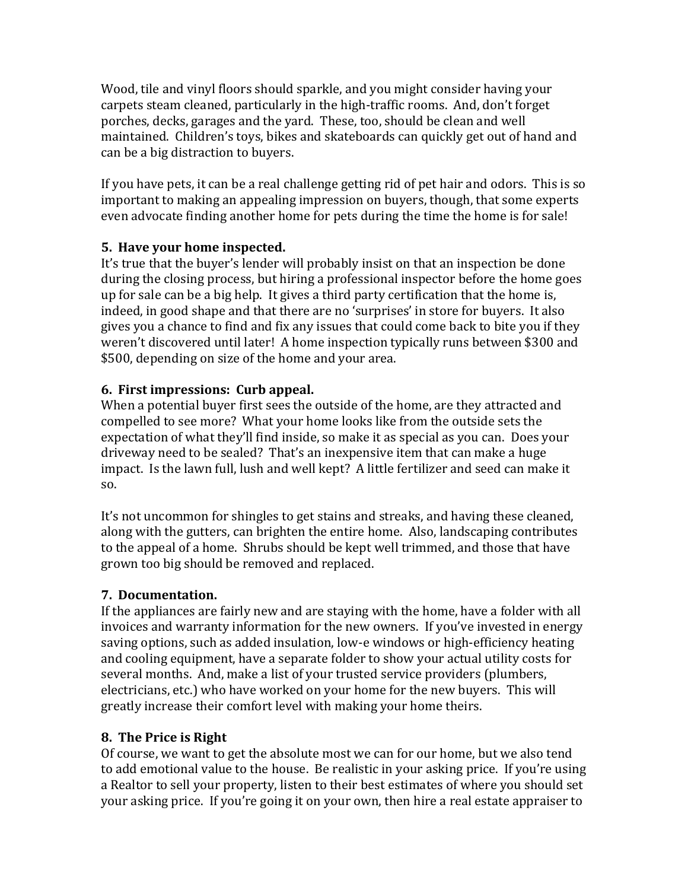Wood, tile and vinyl floors should sparkle, and you might consider having your carpets steam cleaned, particularly in the high-traffic rooms. And, don't forget porches, decks, garages and the yard. These, too, should be clean and well maintained. Children's toys, bikes and skateboards can quickly get out of hand and can be a big distraction to buyers.

If you have pets, it can be a real challenge getting rid of pet hair and odors. This is so important to making an appealing impression on buyers, though, that some experts even advocate finding another home for pets during the time the home is for sale!

## **5. Have your home inspected.**

It's true that the buyer's lender will probably insist on that an inspection be done during the closing process, but hiring a professional inspector before the home goes up for sale can be a big help. It gives a third party certification that the home is, indeed, in good shape and that there are no 'surprises' in store for buyers. It also gives you a chance to find and fix any issues that could come back to bite you if they weren't discovered until later! A home inspection typically runs between \$300 and \$500, depending on size of the home and your area.

#### **6. First impressions: Curb appeal.**

When a potential buyer first sees the outside of the home, are they attracted and compelled to see more? What your home looks like from the outside sets the expectation of what they'll find inside, so make it as special as you can. Does your driveway need to be sealed? That's an inexpensive item that can make a huge impact. Is the lawn full, lush and well kept? A little fertilizer and seed can make it so.

It's not uncommon for shingles to get stains and streaks, and having these cleaned, along with the gutters, can brighten the entire home. Also, landscaping contributes to the appeal of a home. Shrubs should be kept well trimmed, and those that have grown too big should be removed and replaced.

## **7. Documentation.**

If the appliances are fairly new and are staying with the home, have a folder with all invoices and warranty information for the new owners. If you've invested in energy saving options, such as added insulation, low-e windows or high-efficiency heating and cooling equipment, have a separate folder to show your actual utility costs for several months. And, make a list of your trusted service providers (plumbers, electricians, etc.) who have worked on your home for the new buyers. This will greatly increase their comfort level with making your home theirs.

## **8. The Price is Right**

Of course, we want to get the absolute most we can for our home, but we also tend to add emotional value to the house. Be realistic in your asking price. If you're using a Realtor to sell your property, listen to their best estimates of where you should set your asking price. If you're going it on your own, then hire a real estate appraiser to